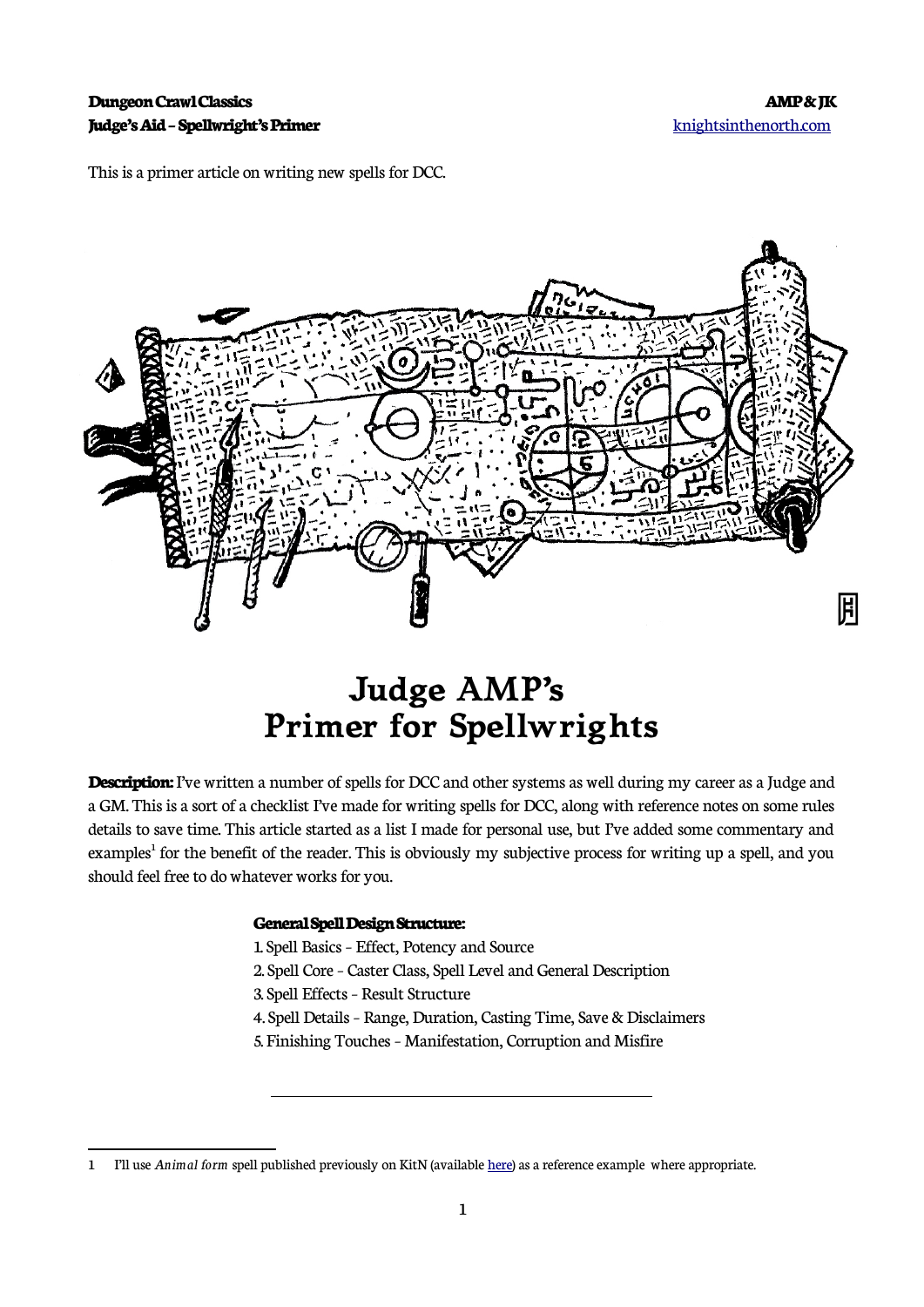#### **Dungeon Crawl Classics AMP & JK Judge's Aid – Spellwright's Primer** [knightsinthenorth.com](http://knightsinthenorth.com/)

This is a primer article on writing new spells for DCC.



# **Judge AMP's Primer for Spellwrights**

**Description:** I've written a number of spells for DCC and other systems as well during my career as a Judge and a GM. This is a sort of a checklist I've made for writing spells for DCC, along with reference notes on some rules details to save time. This article started as a list I made for personal use, but I've added some commentary and examples<sup>[1](#page-0-0)</sup> for the benefit of the reader. This is obviously my subjective process for writing up a spell, and you should feel free to do whatever works for you.

#### **General Spell Design Structure:**

 $\overline{a}$ 

1. Spell Basics – Effect, Potency and Source 2. Spell Core – Caster Class, Spell Level and General Description 3. Spell Effects – Result Structure 4. Spell Details – Range, Duration, Casting Time, Save & Disclaimers 5. Finishing Touches – Manifestation, Corruption and Misfire

<span id="page-0-0"></span><sup>1</sup> I'll use *Animal form* spell published previously on KitN (available [here](https://www.knightsinthenorth.com/spell-animal-form/)) as a reference example where appropriate.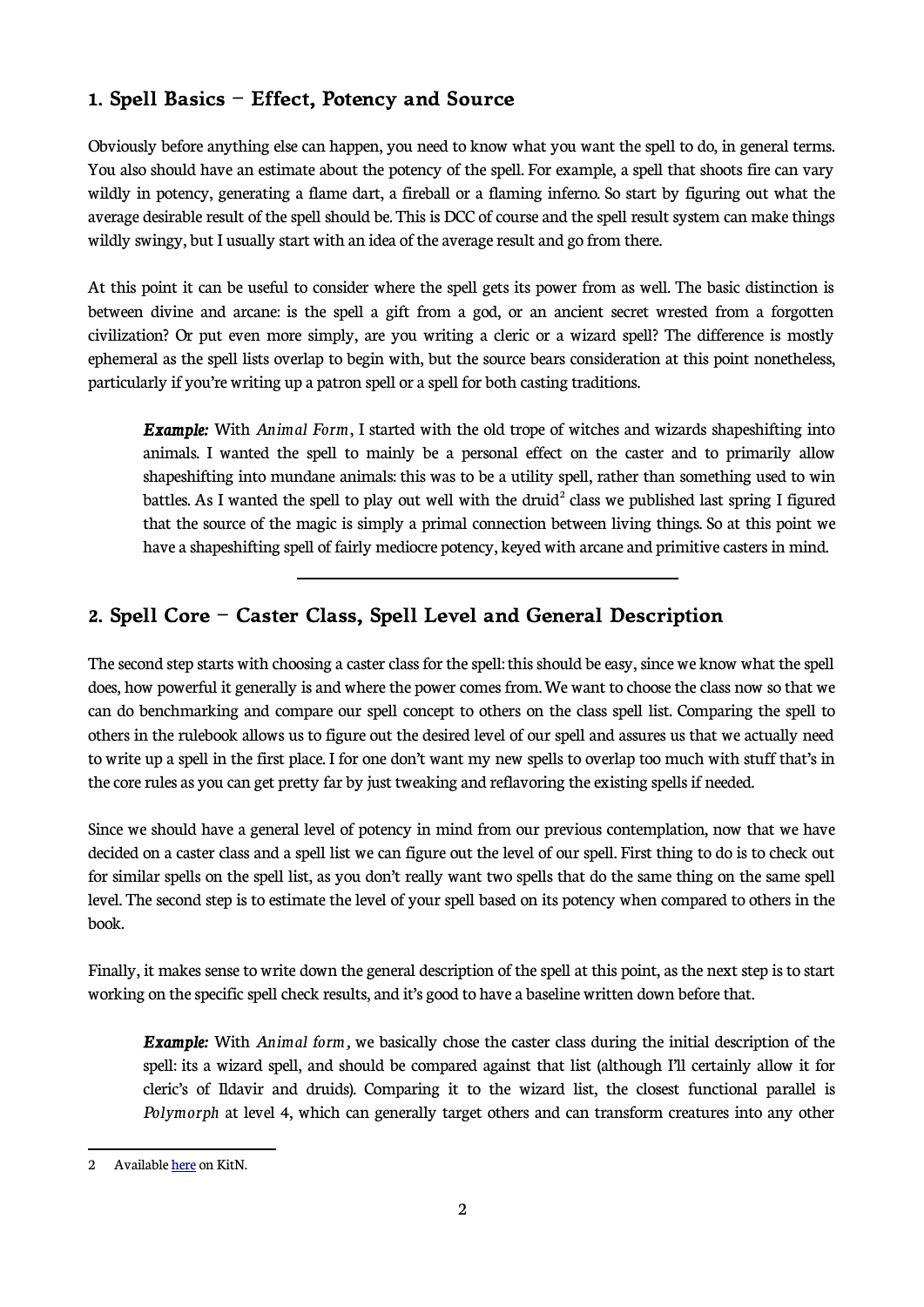### **1. Spell Basics – Effect, Potency and Source**

 $\overline{a}$ 

Obviously before anything else can happen, you need to know what you want the spell to do, in general terms. You also should have an estimate about the potency of the spell. For example, a spell that shoots fire can vary wildly in potency, generating a flame dart, a fireball or a flaming inferno. So start by figuring out what the average desirable result of the spell should be. This is DCC of course and the spell result system can make things wildly swingy, but I usually start with an idea of the average result and go from there.

At this point it can be useful to consider where the spell gets its power from as well. The basic distinction is between divine and arcane: is the spell a gift from a god, or an ancient secret wrested from a forgotten civilization? Or put even more simply, are you writing a cleric or a wizard spell? The difference is mostly ephemeral as the spell lists overlap to begin with, but the source bears consideration at this point nonetheless, particularly if you're writing up a patron spell or a spell for both casting traditions.

*Example:* With *Animal Form*, I started with the old trope of witches and wizards shapeshifting into animals. I wanted the spell to mainly be a personal effect on the caster and to primarily allow shapeshifting into mundane animals: this was to be a utility spell, rather than something used to win battles. As I wanted the spell to play out well with the druid<sup>[2](#page-1-0)</sup> class we published last spring I figured that the source of the magic is simply a primal connection between living things. So at this point we have a shapeshifting spell of fairly mediocre potency, keyed with arcane and primitive casters in mind.

### **2. Spell Core – Caster Class, Spell Level and General Description**

The second step starts with choosing a caster class for the spell: this should be easy, since we know what the spell does, how powerful it generally is and where the power comes from. We want to choose the class now so that we can do benchmarking and compare our spell concept to others on the class spell list. Comparing the spell to others in the rulebook allows us to figure out the desired level of our spell and assures us that we actually need to write up a spell in the first place. I for one don't want my new spells to overlap too much with stuff that's in the core rules as you can get pretty far by just tweaking and reflavoring the existing spells if needed.

Since we should have a general level of potency in mind from our previous contemplation, now that we have decided on a caster class and a spell list we can figure out the level of our spell. First thing to do is to check out for similar spells on the spell list, as you don't really want two spells that do the same thing on the same spell level. The second step is to estimate the level of your spell based on its potency when compared to others in the book.

Finally, it makes sense to write down the general description of the spell at this point, as the next step is to start working on the specific spell check results, and it's good to have a baseline written down before that.

*Example:* With *Animal form,* we basically chose the caster class during the initial description of the spell: its a wizard spell, and should be compared against that list (although I'll certainly allow it for cleric's of Ildavir and druids). Comparing it to the wizard list, the closest functional parallel is *Polymorph* at level 4, which can generally target others and can transform creatures into any other

<span id="page-1-0"></span><sup>2</sup> Available [here](https://www.knightsinthenorth.com/2145/) on KitN.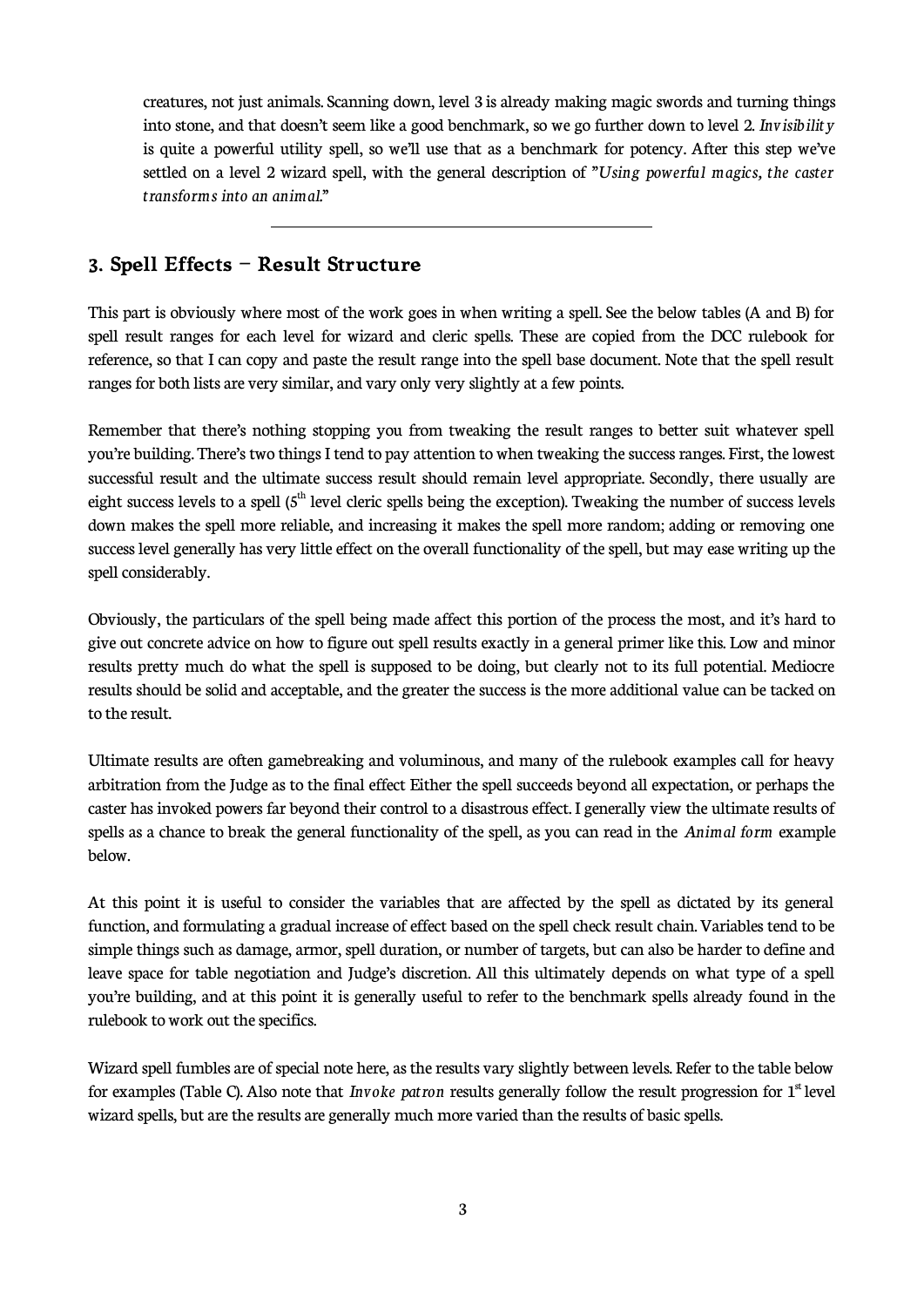creatures, not just animals. Scanning down, level 3 is already making magic swords and turning things into stone, and that doesn't seem like a good benchmark, so we go further down to level 2. *Invisibility* is quite a powerful utility spell, so we'll use that as a benchmark for potency. After this step we've settled on a level 2 wizard spell, with the general description of "*Using powerful magics, the caster transforms into an animal.*"

#### **3. Spell Effects – Result Structure**

 $\overline{a}$ 

This part is obviously where most of the work goes in when writing a spell. See the below tables (A and B) for spell result ranges for each level for wizard and cleric spells. These are copied from the DCC rulebook for reference, so that I can copy and paste the result range into the spell base document. Note that the spell result ranges for both lists are very similar, and vary only very slightly at a few points.

Remember that there's nothing stopping you from tweaking the result ranges to better suit whatever spell you're building. There's two things I tend to pay attention to when tweaking the success ranges. First, the lowest successful result and the ultimate success result should remain level appropriate. Secondly, there usually are eight success levels to a spell  $(5<sup>th</sup>$  level cleric spells being the exception). Tweaking the number of success levels down makes the spell more reliable, and increasing it makes the spell more random; adding or removing one success level generally has very little effect on the overall functionality of the spell, but may ease writing up the spell considerably.

Obviously, the particulars of the spell being made affect this portion of the process the most, and it's hard to give out concrete advice on how to figure out spell results exactly in a general primer like this. Low and minor results pretty much do what the spell is supposed to be doing, but clearly not to its full potential. Mediocre results should be solid and acceptable, and the greater the success is the more additional value can be tacked on to the result.

Ultimate results are often gamebreaking and voluminous, and many of the rulebook examples call for heavy arbitration from the Judge as to the final effect Either the spell succeeds beyond all expectation, or perhaps the caster has invoked powers far beyond their control to a disastrous effect. I generally view the ultimate results of spells as a chance to break the general functionality of the spell, as you can read in the *Animal form* example below.

At this point it is useful to consider the variables that are affected by the spell as dictated by its general function, and formulating a gradual increase of effect based on the spell check result chain. Variables tend to be simple things such as damage, armor, spell duration, or number of targets, but can also be harder to define and leave space for table negotiation and Judge's discretion. All this ultimately depends on what type of a spell you're building, and at this point it is generally useful to refer to the benchmark spells already found in the rulebook to work out the specifics.

Wizard spell fumbles are of special note here, as the results vary slightly between levels. Refer to the table below for examples (Table C). Also note that *Invoke patron* results generally follow the result progression for 1<sup>st</sup> level wizard spells, but are the results are generally much more varied than the results of basic spells.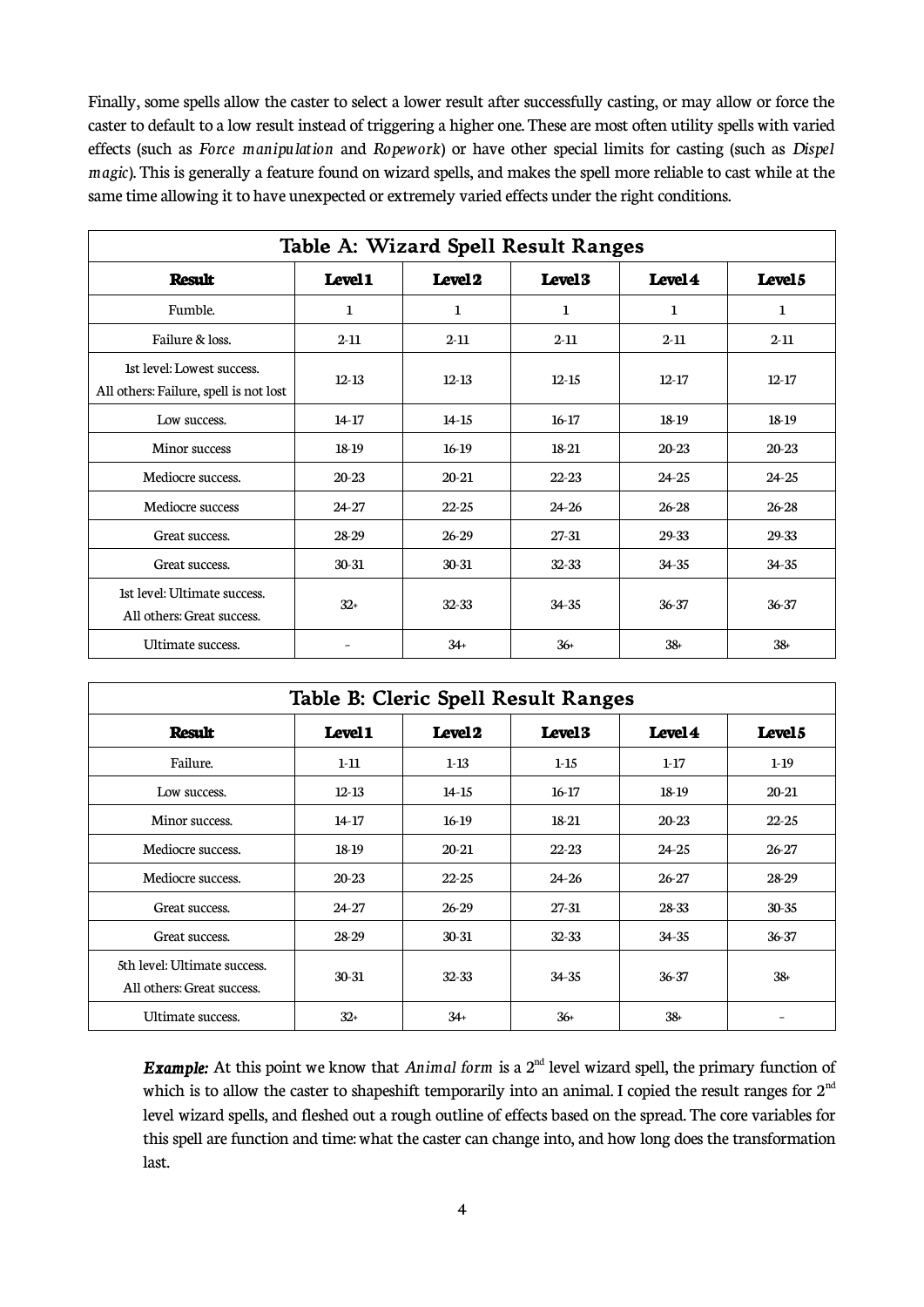Finally, some spells allow the caster to select a lower result after successfully casting, or may allow or force the caster to default to a low result instead of triggering a higher one. These are most often utility spells with varied effects (such as *Force manipulation* and *Ropework*) or have other special limits for casting (such as *Dispel magic*). This is generally a feature found on wizard spells, and makes the spell more reliable to cast while at the same time allowing it to have unexpected or extremely varied effects under the right conditions.

| Table A: Wizard Spell Result Ranges                                  |             |                    |                    |           |                    |  |  |
|----------------------------------------------------------------------|-------------|--------------------|--------------------|-----------|--------------------|--|--|
| <b>Result</b>                                                        | Level1      | Level <sub>2</sub> | Level <sub>3</sub> | Level 4   | Level <sub>5</sub> |  |  |
| Fumble.                                                              | $\mathbf 1$ | 1                  | 1                  | 1         | $\mathbf{1}$       |  |  |
| Failure & loss.                                                      | $2 - 11$    | $2 - 11$           | $2 - 11$           | $2 - 11$  | $2 - 11$           |  |  |
| 1st level: Lowest success.<br>All others: Failure, spell is not lost | $12 - 13$   | $12 - 13$          | $12 - 15$          | $12 - 17$ | $12 - 17$          |  |  |
| Low success.                                                         | $14-17$     | $14 - 15$          | $16-17$            | 18-19     | 18-19              |  |  |
| Minor success                                                        | 18-19       | $16-19$            | 18-21              | $20 - 23$ | $20 - 23$          |  |  |
| Mediocre success.                                                    | 20-23       | 20-21              | $22 - 23$          | $24 - 25$ | $24 - 25$          |  |  |
| Mediocre success                                                     | $24 - 27$   | $22 - 25$          | $24 - 26$          | 26-28     | 26-28              |  |  |
| Great success.                                                       | 28-29       | 26-29              | 27-31              | 29-33     | 29-33              |  |  |
| Great success.                                                       | 30-31       | $30 - 31$          | 32-33              | $34 - 35$ | 34-35              |  |  |
| 1st level: Ultimate success.<br>All others: Great success.           | $32+$       | 32-33              | $34 - 35$          | 36-37     | 36-37              |  |  |
| Ultimate success.                                                    |             | $34+$              | $36+$              | $38 +$    | $38+$              |  |  |

| Table B: Cleric Spell Result Ranges                        |                    |                    |                    |           |                    |  |
|------------------------------------------------------------|--------------------|--------------------|--------------------|-----------|--------------------|--|
| <b>Result</b>                                              | Level <sub>1</sub> | Level <sub>2</sub> | Level <sub>3</sub> | Level 4   | Level <sub>5</sub> |  |
| Failure.                                                   | $1-11$             | $1 - 13$           | $1 - 15$           | $1-17$    | $1-19$             |  |
| Low success.                                               | $12 - 13$          | $14 - 15$          | $16-17$            | 18-19     | $20 - 21$          |  |
| Minor success.                                             | $14-17$            | $16-19$            | 18-21              | 20-23     | $22 - 25$          |  |
| Mediocre success.                                          | 18-19              | 20-21              | $22 - 23$          | 24-25     | 26-27              |  |
| Mediocre success.                                          | 20-23              | $22 - 25$          | 24-26              | 26-27     | 28-29              |  |
| Great success.                                             | $24 - 27$          | $26-29$            | 27-31              | 28-33     | 30-35              |  |
| Great success.                                             | 28-29              | $30 - 31$          | 32-33              | $34 - 35$ | 36-37              |  |
| 5th level: Ultimate success.<br>All others: Great success. | 30-31              | $32 - 33$          | $34 - 35$          | 36-37     | 38+                |  |
| Ultimate success.                                          | $32+$              | $34+$              | $36+$              | $38+$     |                    |  |

*Example:* At this point we know that *Animal form* is a 2<sup>nd</sup> level wizard spell, the primary function of which is to allow the caster to shapeshift temporarily into an animal. I copied the result ranges for  $2<sup>nd</sup>$ level wizard spells, and fleshed out a rough outline of effects based on the spread. The core variables for this spell are function and time: what the caster can change into, and how long does the transformation last.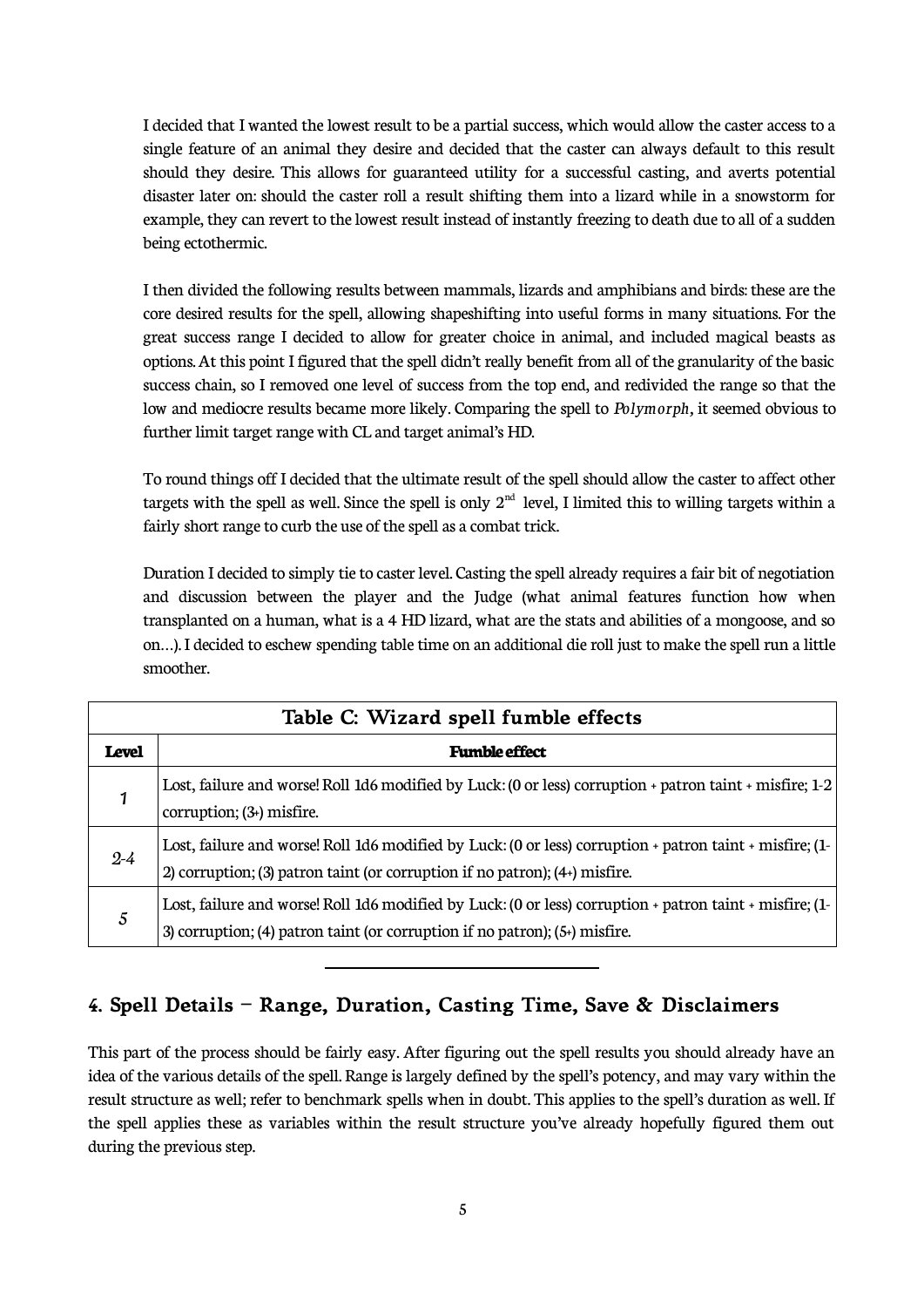I decided that I wanted the lowest result to be a partial success, which would allow the caster access to a single feature of an animal they desire and decided that the caster can always default to this result should they desire. This allows for guaranteed utility for a successful casting, and averts potential disaster later on: should the caster roll a result shifting them into a lizard while in a snowstorm for example, they can revert to the lowest result instead of instantly freezing to death due to all of a sudden being ectothermic.

I then divided the following results between mammals, lizards and amphibians and birds: these are the core desired results for the spell, allowing shapeshifting into useful forms in many situations. For the great success range I decided to allow for greater choice in animal, and included magical beasts as options. At this point I figured that the spell didn't really benefit from all of the granularity of the basic success chain, so I removed one level of success from the top end, and redivided the range so that the low and mediocre results became more likely. Comparing the spell to *Polymorph,* it seemed obvious to further limit target range with CL and target animal's HD.

To round things off I decided that the ultimate result of the spell should allow the caster to affect other targets with the spell as well. Since the spell is only  $2<sup>nd</sup>$  level, I limited this to willing targets within a fairly short range to curb the use of the spell as a combat trick.

Duration I decided to simply tie to caster level. Casting the spell already requires a fair bit of negotiation and discussion between the player and the Judge (what animal features function how when transplanted on a human, what is a 4 HD lizard, what are the stats and abilities of a mongoose, and so on...). I decided to eschew spending table time on an additional die roll just to make the spell run a little smoother.

| Table C: Wizard spell fumble effects |                                                                                                                                                                                           |  |  |  |
|--------------------------------------|-------------------------------------------------------------------------------------------------------------------------------------------------------------------------------------------|--|--|--|
| <b>Level</b>                         | <b>Fumble effect</b>                                                                                                                                                                      |  |  |  |
| 1                                    | Lost, failure and worse! Roll 1d6 modified by Luck: (0 or less) corruption + patron taint + misfire; 1-2<br>corruption; $(3+)$ misfire.                                                   |  |  |  |
| $2 - 4$                              | Lost, failure and worse! Roll 1d6 modified by Luck: (0 or less) corruption + patron taint + misfire; (1-<br>2) corruption; (3) patron taint (or corruption if no patron); $(4+)$ misfire. |  |  |  |
| $\mathfrak{S}$                       | Lost, failure and worse! Roll 1d6 modified by Luck: (0 or less) corruption + patron taint + misfire; (1-<br>3) corruption; (4) patron taint (or corruption if no patron); $(5+)$ misfire. |  |  |  |

### **4. Spell Details – Range, Duration, Casting Time, Save & Disclaimers**

 $\overline{a}$ 

This part of the process should be fairly easy. After figuring out the spell results you should already have an idea of the various details of the spell. Range is largely defined by the spell's potency, and may vary within the result structure as well; refer to benchmark spells when in doubt. This applies to the spell's duration as well. If the spell applies these as variables within the result structure you've already hopefully figured them out during the previous step.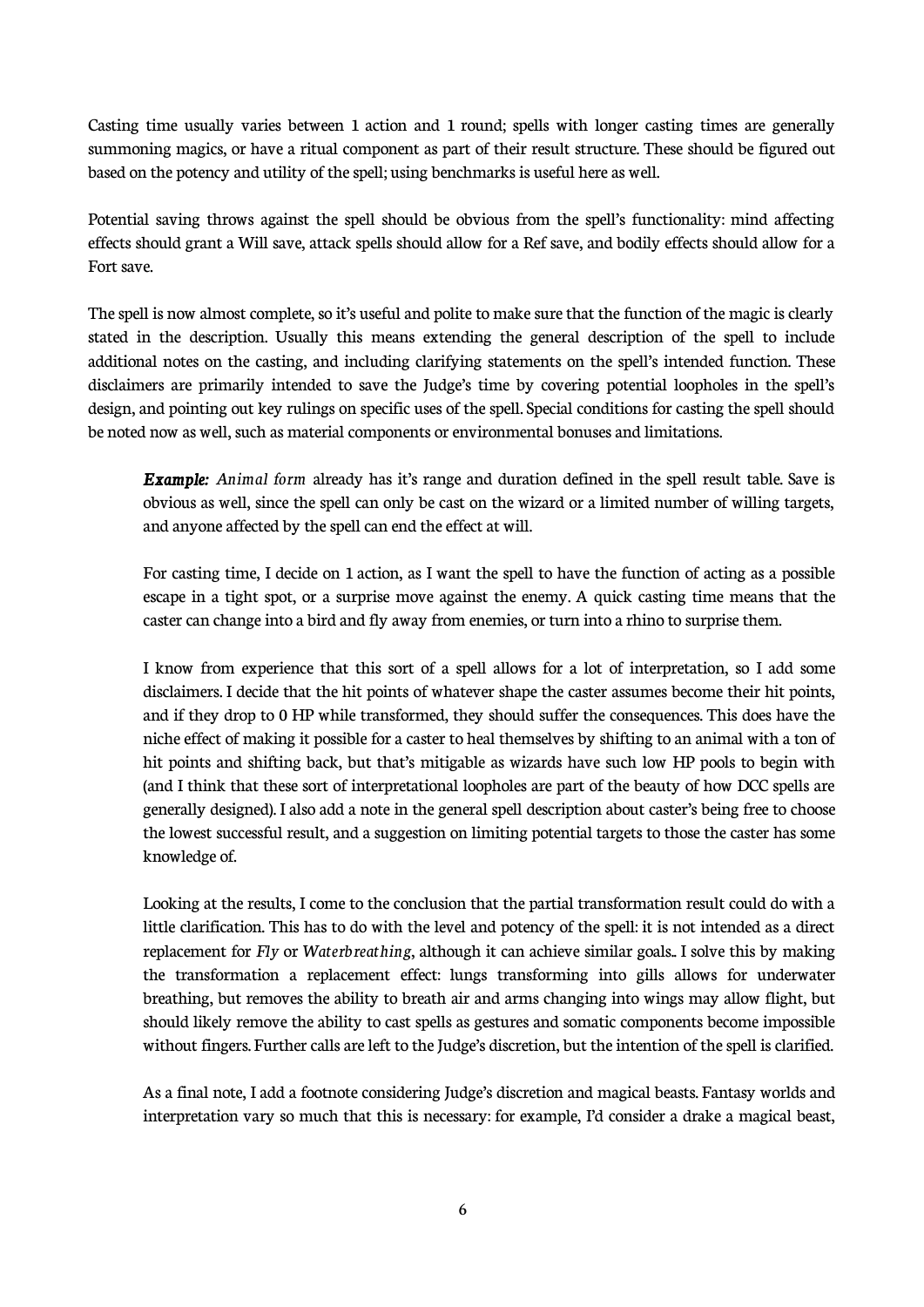Casting time usually varies between 1 action and 1 round; spells with longer casting times are generally summoning magics, or have a ritual component as part of their result structure. These should be figured out based on the potency and utility of the spell; using benchmarks is useful here as well.

Potential saving throws against the spell should be obvious from the spell's functionality: mind affecting effects should grant a Will save, attack spells should allow for a Ref save, and bodily effects should allow for a Fort save.

The spell is now almost complete, so it's useful and polite to make sure that the function of the magic is clearly stated in the description. Usually this means extending the general description of the spell to include additional notes on the casting, and including clarifying statements on the spell's intended function. These disclaimers are primarily intended to save the Judge's time by covering potential loopholes in the spell's design, and pointing out key rulings on specific uses of the spell. Special conditions for casting the spell should be noted now as well, such as material components or environmental bonuses and limitations.

*Example: Animal form* already has it's range and duration defined in the spell result table. Save is obvious as well, since the spell can only be cast on the wizard or a limited number of willing targets, and anyone affected by the spell can end the effect at will.

For casting time, I decide on 1 action, as I want the spell to have the function of acting as a possible escape in a tight spot, or a surprise move against the enemy. A quick casting time means that the caster can change into a bird and fly away from enemies, or turn into a rhino to surprise them.

I know from experience that this sort of a spell allows for a lot of interpretation, so I add some disclaimers. I decide that the hit points of whatever shape the caster assumes become their hit points, and if they drop to 0 HP while transformed, they should suffer the consequences. This does have the niche effect of making it possible for a caster to heal themselves by shifting to an animal with a ton of hit points and shifting back, but that's mitigable as wizards have such low HP pools to begin with (and I think that these sort of interpretational loopholes are part of the beauty of how DCC spells are generally designed). I also add a note in the general spell description about caster's being free to choose the lowest successful result, and a suggestion on limiting potential targets to those the caster has some knowledge of.

Looking at the results, I come to the conclusion that the partial transformation result could do with a little clarification. This has to do with the level and potency of the spell: it is not intended as a direct replacement for *Fly* or *Waterbreathing*, although it can achieve similar goals.. I solve this by making the transformation a replacement effect: lungs transforming into gills allows for underwater breathing, but removes the ability to breath air and arms changing into wings may allow flight, but should likely remove the ability to cast spells as gestures and somatic components become impossible without fingers. Further calls are left to the Judge's discretion, but the intention of the spell is clarified.

As a final note, I add a footnote considering Judge's discretion and magical beasts. Fantasy worlds and interpretation vary so much that this is necessary: for example, I'd consider a drake a magical beast,